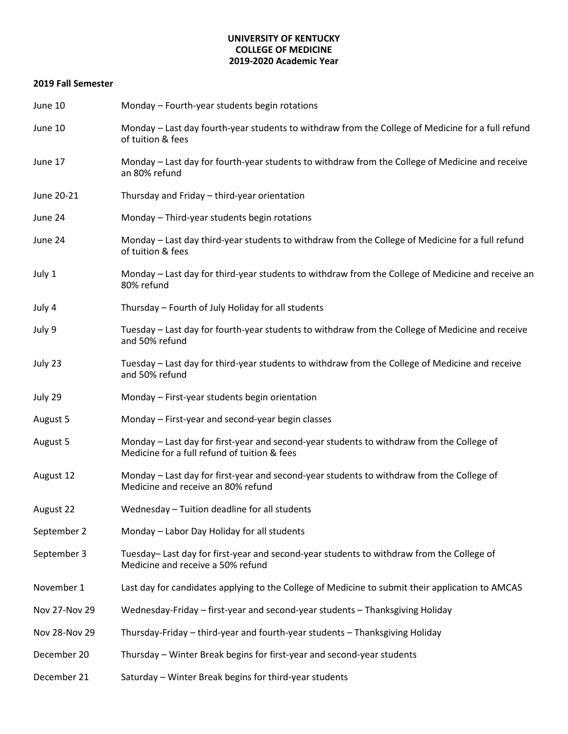## **UNIVERSITY OF KENTUCKY COLLEGE OF MEDICINE 2019-2020 Academic Year**

## **2019 Fall Semester**

| June 10       | Monday - Fourth-year students begin rotations                                                                                             |  |  |
|---------------|-------------------------------------------------------------------------------------------------------------------------------------------|--|--|
| June 10       | Monday - Last day fourth-year students to withdraw from the College of Medicine for a full refund<br>of tuition & fees                    |  |  |
| June 17       | Monday - Last day for fourth-year students to withdraw from the College of Medicine and receive<br>an 80% refund                          |  |  |
| June 20-21    | Thursday and Friday - third-year orientation                                                                                              |  |  |
| June 24       | Monday - Third-year students begin rotations                                                                                              |  |  |
| June 24       | Monday - Last day third-year students to withdraw from the College of Medicine for a full refund<br>of tuition & fees                     |  |  |
| July 1        | Monday - Last day for third-year students to withdraw from the College of Medicine and receive an<br>80% refund                           |  |  |
| July 4        | Thursday - Fourth of July Holiday for all students                                                                                        |  |  |
| July 9        | Tuesday - Last day for fourth-year students to withdraw from the College of Medicine and receive<br>and 50% refund                        |  |  |
| July 23       | Tuesday - Last day for third-year students to withdraw from the College of Medicine and receive<br>and 50% refund                         |  |  |
| July 29       | Monday - First-year students begin orientation                                                                                            |  |  |
| August 5      | Monday - First-year and second-year begin classes                                                                                         |  |  |
| August 5      | Monday - Last day for first-year and second-year students to withdraw from the College of<br>Medicine for a full refund of tuition & fees |  |  |
| August 12     | Monday - Last day for first-year and second-year students to withdraw from the College of<br>Medicine and receive an 80% refund           |  |  |
| August 22     | Wednesday - Tuition deadline for all students                                                                                             |  |  |
| September 2   | Monday - Labor Day Holiday for all students                                                                                               |  |  |
| September 3   | Tuesday- Last day for first-year and second-year students to withdraw from the College of<br>Medicine and receive a 50% refund            |  |  |
| November 1    | Last day for candidates applying to the College of Medicine to submit their application to AMCAS                                          |  |  |
| Nov 27-Nov 29 | Wednesday-Friday - first-year and second-year students - Thanksgiving Holiday                                                             |  |  |
| Nov 28-Nov 29 | Thursday-Friday – third-year and fourth-year students – Thanksgiving Holiday                                                              |  |  |
| December 20   | Thursday – Winter Break begins for first-year and second-year students                                                                    |  |  |
| December 21   | Saturday - Winter Break begins for third-year students                                                                                    |  |  |